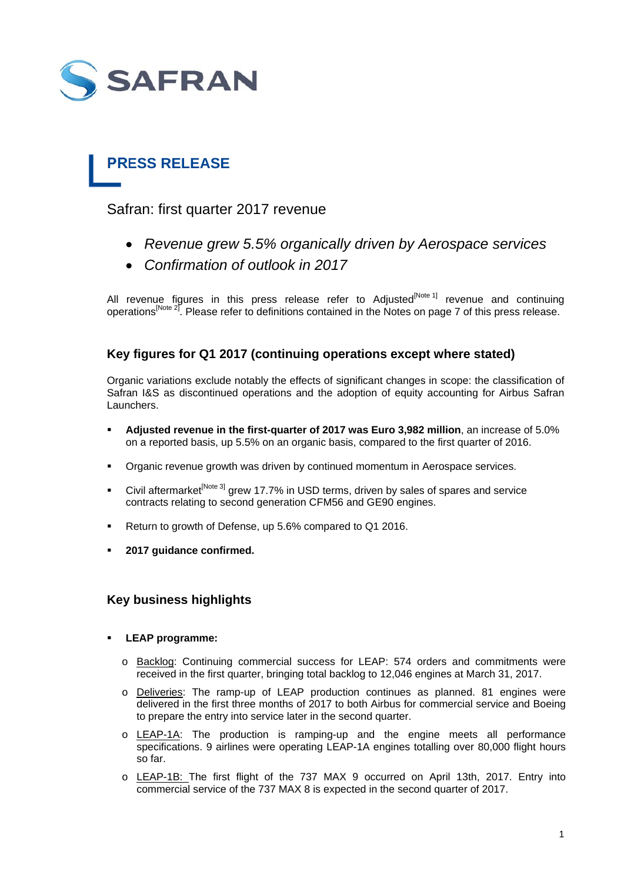

# **PRESS RELEASE**

Safran: first quarter 2017 revenue

- *Revenue grew 5.5% organically driven by Aerospace services*
- *Confirmation of outlook in 2017*

All revenue figures in this press release refer to Adjusted<sup>[Note 1]</sup> revenue and continuing operations<sup>[Note 2]</sup>. Please refer to definitions contained in the Notes on page 7 of this press release.

# **Key figures for Q1 2017 (continuing operations except where stated)**

Organic variations exclude notably the effects of significant changes in scope: the classification of Safran I&S as discontinued operations and the adoption of equity accounting for Airbus Safran Launchers.

- **Adjusted revenue in the first-quarter of 2017 was Euro 3,982 million**, an increase of 5.0% on a reported basis, up 5.5% on an organic basis, compared to the first quarter of 2016.
- Organic revenue growth was driven by continued momentum in Aerospace services.
- Civil aftermarket<sup>[Note 3]</sup> grew 17.7% in USD terms, driven by sales of spares and service contracts relating to second generation CFM56 and GE90 engines.
- Return to growth of Defense, up 5.6% compared to Q1 2016.
- **2017 guidance confirmed.**

# **Key business highlights**

- **LEAP programme:** 
	- o Backlog: Continuing commercial success for LEAP: 574 orders and commitments were received in the first quarter, bringing total backlog to 12,046 engines at March 31, 2017.
	- o Deliveries: The ramp-up of LEAP production continues as planned. 81 engines were delivered in the first three months of 2017 to both Airbus for commercial service and Boeing to prepare the entry into service later in the second quarter.
	- o LEAP-1A: The production is ramping-up and the engine meets all performance specifications. 9 airlines were operating LEAP-1A engines totalling over 80,000 flight hours so far.
	- o LEAP-1B: The first flight of the 737 MAX 9 occurred on April 13th, 2017. Entry into commercial service of the 737 MAX 8 is expected in the second quarter of 2017.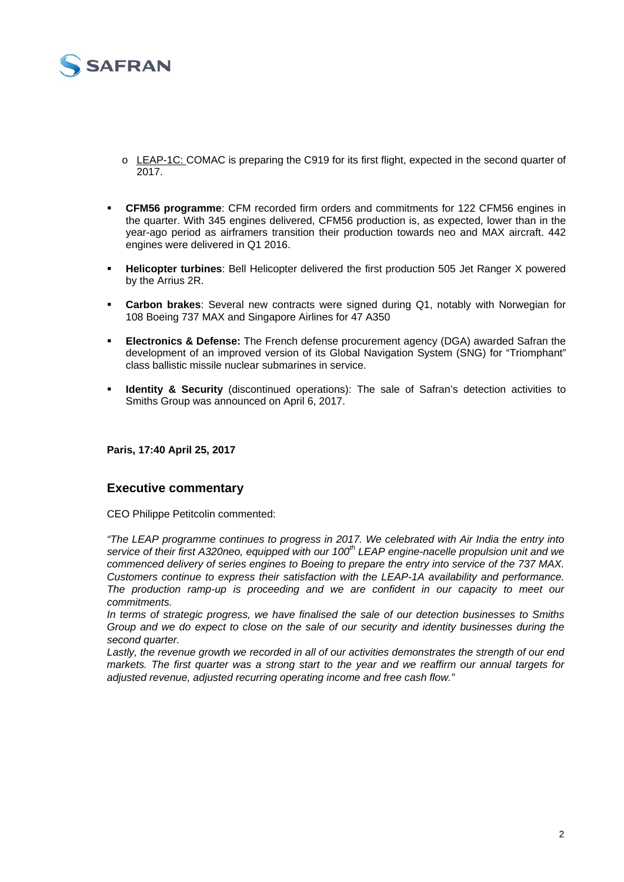

- o LEAP-1C: COMAC is preparing the C919 for its first flight, expected in the second quarter of 2017.
- **CFM56 programme**: CFM recorded firm orders and commitments for 122 CFM56 engines in the quarter. With 345 engines delivered, CFM56 production is, as expected, lower than in the year-ago period as airframers transition their production towards neo and MAX aircraft. 442 engines were delivered in Q1 2016.
- **Helicopter turbines**: Bell Helicopter delivered the first production 505 Jet Ranger X powered by the Arrius 2R.
- **Carbon brakes**: Several new contracts were signed during Q1, notably with Norwegian for 108 Boeing 737 MAX and Singapore Airlines for 47 A350
- **Electronics & Defense:** The French defense procurement agency (DGA) awarded Safran the development of an improved version of its Global Navigation System (SNG) for "Triomphant" class ballistic missile nuclear submarines in service.
- **Identity & Security** (discontinued operations): The sale of Safran's detection activities to Smiths Group was announced on April 6, 2017.

**Paris, 17:40 April 25, 2017** 

## **Executive commentary**

CEO Philippe Petitcolin commented:

*"The LEAP programme continues to progress in 2017. We celebrated with Air India the entry into*  service of their first A320neo, equipped with our 100<sup>th</sup> LEAP engine-nacelle propulsion unit and we *commenced delivery of series engines to Boeing to prepare the entry into service of the 737 MAX. Customers continue to express their satisfaction with the LEAP-1A availability and performance. The production ramp-up is proceeding and we are confident in our capacity to meet our commitments.* 

*In terms of strategic progress, we have finalised the sale of our detection businesses to Smiths Group and we do expect to close on the sale of our security and identity businesses during the second quarter.* 

*Lastly, the revenue growth we recorded in all of our activities demonstrates the strength of our end markets. The first quarter was a strong start to the year and we reaffirm our annual targets for adjusted revenue, adjusted recurring operating income and free cash flow."*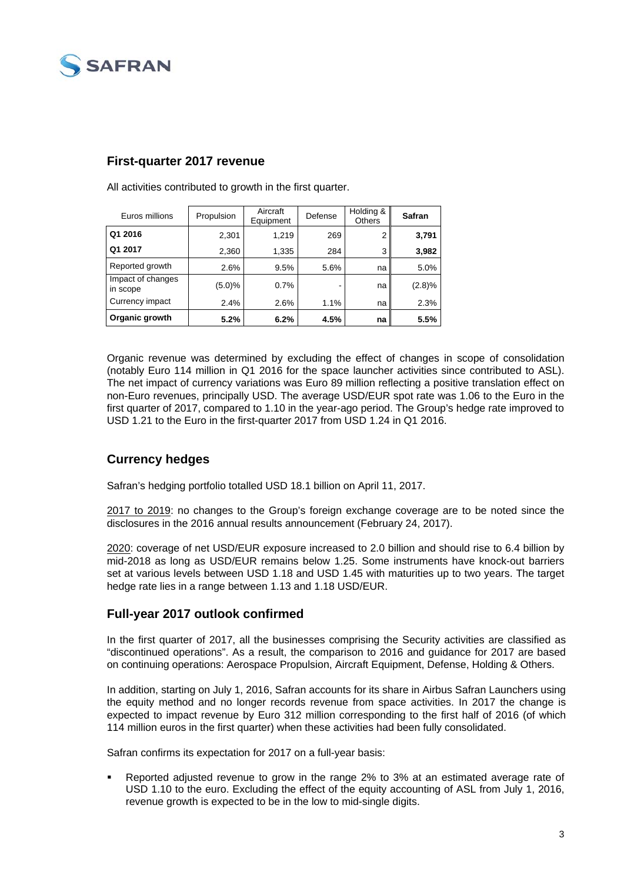

## **First-quarter 2017 revenue**

| Euros millions                | Propulsion | Aircraft<br>Equipment | Defense | Holding &<br><b>Others</b> | Safran |
|-------------------------------|------------|-----------------------|---------|----------------------------|--------|
| Q1 2016                       | 2,301      | 1,219                 | 269     | 2                          | 3,791  |
| Q1 2017                       | 2,360      | 1,335                 | 284     | 3                          | 3,982  |
| Reported growth               | 2.6%       | 9.5%                  | 5.6%    | na                         | 5.0%   |
| Impact of changes<br>in scope | $(5.0)\%$  | 0.7%                  | ٠       | na                         | (2.8)% |
| Currency impact               | 2.4%       | 2.6%                  | 1.1%    | na                         | 2.3%   |
| Organic growth                | 5.2%       | 6.2%                  | 4.5%    | na                         | 5.5%   |

All activities contributed to growth in the first quarter.

Organic revenue was determined by excluding the effect of changes in scope of consolidation (notably Euro 114 million in Q1 2016 for the space launcher activities since contributed to ASL). The net impact of currency variations was Euro 89 million reflecting a positive translation effect on non-Euro revenues, principally USD. The average USD/EUR spot rate was 1.06 to the Euro in the first quarter of 2017, compared to 1.10 in the year-ago period. The Group's hedge rate improved to USD 1.21 to the Euro in the first-quarter 2017 from USD 1.24 in Q1 2016.

# **Currency hedges**

Safran's hedging portfolio totalled USD 18.1 billion on April 11, 2017.

2017 to 2019: no changes to the Group's foreign exchange coverage are to be noted since the disclosures in the 2016 annual results announcement (February 24, 2017).

2020: coverage of net USD/EUR exposure increased to 2.0 billion and should rise to 6.4 billion by mid-2018 as long as USD/EUR remains below 1.25. Some instruments have knock-out barriers set at various levels between USD 1.18 and USD 1.45 with maturities up to two years. The target hedge rate lies in a range between 1.13 and 1.18 USD/EUR.

## **Full-year 2017 outlook confirmed**

In the first quarter of 2017, all the businesses comprising the Security activities are classified as "discontinued operations". As a result, the comparison to 2016 and guidance for 2017 are based on continuing operations: Aerospace Propulsion, Aircraft Equipment, Defense, Holding & Others.

In addition, starting on July 1, 2016, Safran accounts for its share in Airbus Safran Launchers using the equity method and no longer records revenue from space activities. In 2017 the change is expected to impact revenue by Euro 312 million corresponding to the first half of 2016 (of which 114 million euros in the first quarter) when these activities had been fully consolidated.

Safran confirms its expectation for 2017 on a full-year basis:

 Reported adjusted revenue to grow in the range 2% to 3% at an estimated average rate of USD 1.10 to the euro. Excluding the effect of the equity accounting of ASL from July 1, 2016, revenue growth is expected to be in the low to mid-single digits.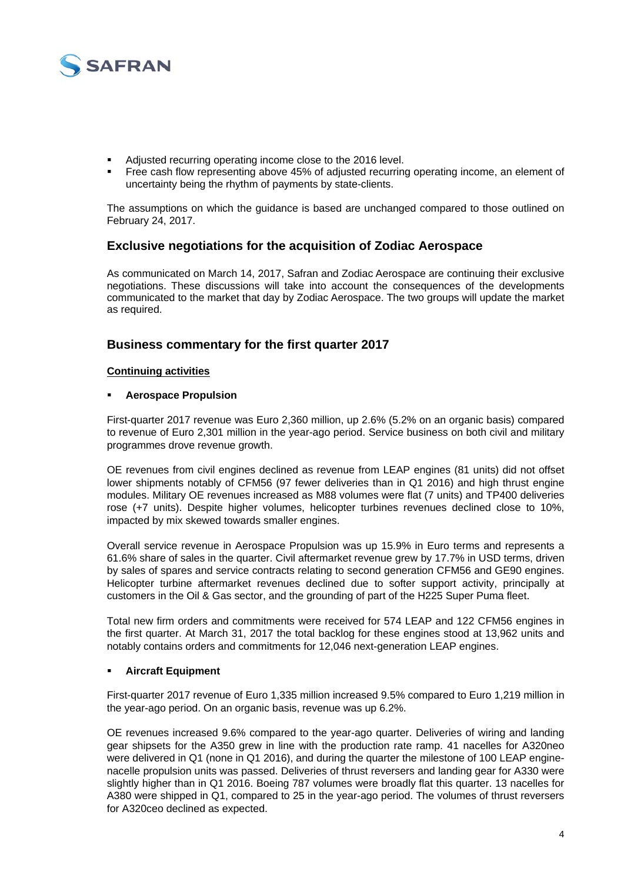

- Adjusted recurring operating income close to the 2016 level.
- Free cash flow representing above 45% of adjusted recurring operating income, an element of uncertainty being the rhythm of payments by state-clients.

The assumptions on which the guidance is based are unchanged compared to those outlined on February 24, 2017.

## **Exclusive negotiations for the acquisition of Zodiac Aerospace**

As communicated on March 14, 2017, Safran and Zodiac Aerospace are continuing their exclusive negotiations. These discussions will take into account the consequences of the developments communicated to the market that day by Zodiac Aerospace. The two groups will update the market as required.

## **Business commentary for the first quarter 2017**

## **Continuing activities**

## **Aerospace Propulsion**

First-quarter 2017 revenue was Euro 2,360 million, up 2.6% (5.2% on an organic basis) compared to revenue of Euro 2,301 million in the year-ago period. Service business on both civil and military programmes drove revenue growth.

OE revenues from civil engines declined as revenue from LEAP engines (81 units) did not offset lower shipments notably of CFM56 (97 fewer deliveries than in Q1 2016) and high thrust engine modules. Military OE revenues increased as M88 volumes were flat (7 units) and TP400 deliveries rose (+7 units). Despite higher volumes, helicopter turbines revenues declined close to 10%, impacted by mix skewed towards smaller engines.

Overall service revenue in Aerospace Propulsion was up 15.9% in Euro terms and represents a 61.6% share of sales in the quarter. Civil aftermarket revenue grew by 17.7% in USD terms, driven by sales of spares and service contracts relating to second generation CFM56 and GE90 engines. Helicopter turbine aftermarket revenues declined due to softer support activity, principally at customers in the Oil & Gas sector, and the grounding of part of the H225 Super Puma fleet.

Total new firm orders and commitments were received for 574 LEAP and 122 CFM56 engines in the first quarter. At March 31, 2017 the total backlog for these engines stood at 13,962 units and notably contains orders and commitments for 12,046 next-generation LEAP engines.

### **Aircraft Equipment**

First-quarter 2017 revenue of Euro 1,335 million increased 9.5% compared to Euro 1,219 million in the year-ago period. On an organic basis, revenue was up 6.2%.

OE revenues increased 9.6% compared to the year-ago quarter. Deliveries of wiring and landing gear shipsets for the A350 grew in line with the production rate ramp. 41 nacelles for A320neo were delivered in Q1 (none in Q1 2016), and during the quarter the milestone of 100 LEAP enginenacelle propulsion units was passed. Deliveries of thrust reversers and landing gear for A330 were slightly higher than in Q1 2016. Boeing 787 volumes were broadly flat this quarter. 13 nacelles for A380 were shipped in Q1, compared to 25 in the year-ago period. The volumes of thrust reversers for A320ceo declined as expected.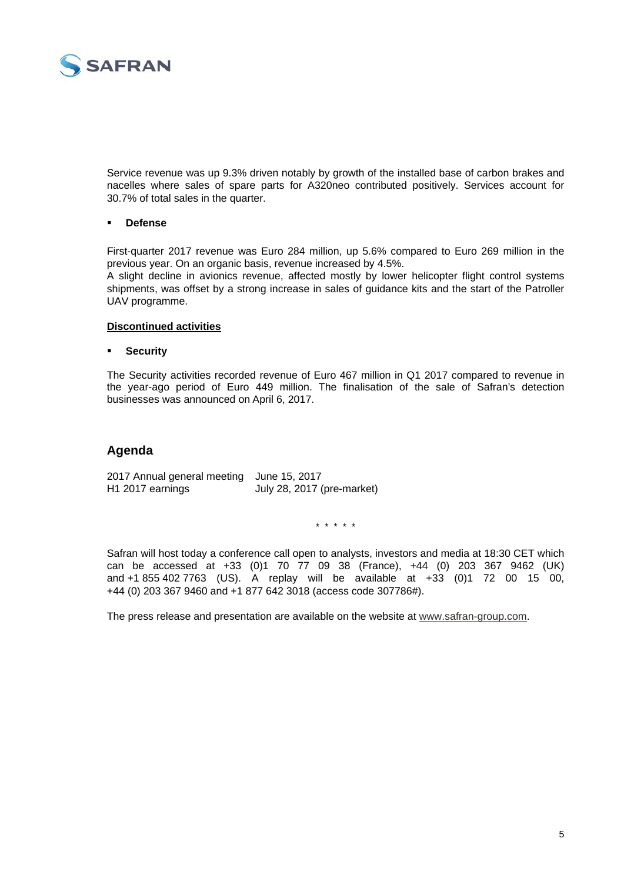

Service revenue was up 9.3% driven notably by growth of the installed base of carbon brakes and nacelles where sales of spare parts for A320neo contributed positively. Services account for 30.7% of total sales in the quarter.

### **Defense**

First-quarter 2017 revenue was Euro 284 million, up 5.6% compared to Euro 269 million in the previous year. On an organic basis, revenue increased by 4.5%.

A slight decline in avionics revenue, affected mostly by lower helicopter flight control systems shipments, was offset by a strong increase in sales of guidance kits and the start of the Patroller UAV programme.

## **Discontinued activities**

### **Security**

The Security activities recorded revenue of Euro 467 million in Q1 2017 compared to revenue in the year-ago period of Euro 449 million. The finalisation of the sale of Safran's detection businesses was announced on April 6, 2017.

# **Agenda**

2017 Annual general meeting June 15, 2017 H1 2017 earnings July 28, 2017 (pre-market)

\* \* \* \* \*

Safran will host today a conference call open to analysts, investors and media at 18:30 CET which can be accessed at +33 (0)1 70 77 09 38 (France), +44 (0) 203 367 9462 (UK) and +1 855 402 7763 (US). A replay will be available at +33 (0)1 72 00 15 00, +44 (0) 203 367 9460 and +1 877 642 3018 (access code 307786#).

The press release and presentation are available on the website at www.safran-group.com.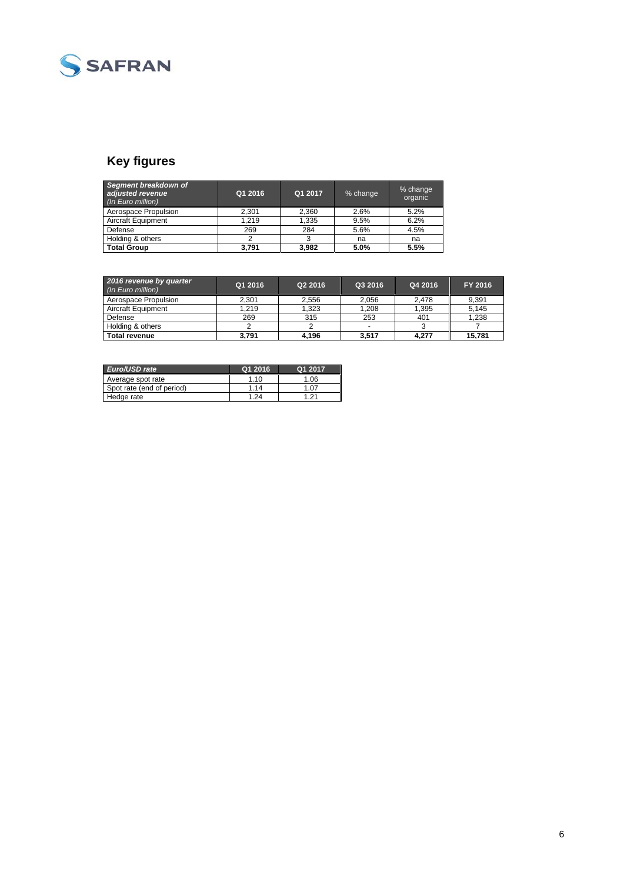

# **Key figures**

| Segment breakdown of<br>adjusted revenue<br>(In Euro million) | Q1 2016 | Q1 2017 | % change | % change<br>organic |
|---------------------------------------------------------------|---------|---------|----------|---------------------|
| Aerospace Propulsion                                          | 2.301   | 2.360   | 2.6%     | 5.2%                |
| Aircraft Equipment                                            | 1.219   | 1,335   | 9.5%     | 6.2%                |
| Defense                                                       | 269     | 284     | 5.6%     | 4.5%                |
| Holding & others                                              | 2       |         | na       | na                  |
| <b>Total Group</b>                                            | 3.791   | 3.982   | 5.0%     | 5.5%                |

| 2016 revenue by quarter<br>(In Euro million) | Q1 2016 | Q2 2016 | Q3 2016 | Q4 2016 | FY 2016 |
|----------------------------------------------|---------|---------|---------|---------|---------|
| Aerospace Propulsion                         | 2.301   | 2.556   | 2.056   | 2.478   | 9,391   |
| <b>Aircraft Equipment</b>                    | 1.219   | 1.323   | 1.208   | 1,395   | 5.145   |
| Defense                                      | 269     | 315     | 253     | 401     | 1,238   |
| Holding & others                             |         |         |         |         |         |
| <b>Total revenue</b>                         | 3,791   | 4,196   | 3.517   | 4.277   | 15.781  |

| Euro/USD rate             | Q1 2016 | Q1 2017 |
|---------------------------|---------|---------|
| Average spot rate         | 1.10    | 1.06    |
| Spot rate (end of period) | 1 14    | 1.07    |
| Hedge rate                | 1.24    | 1 21    |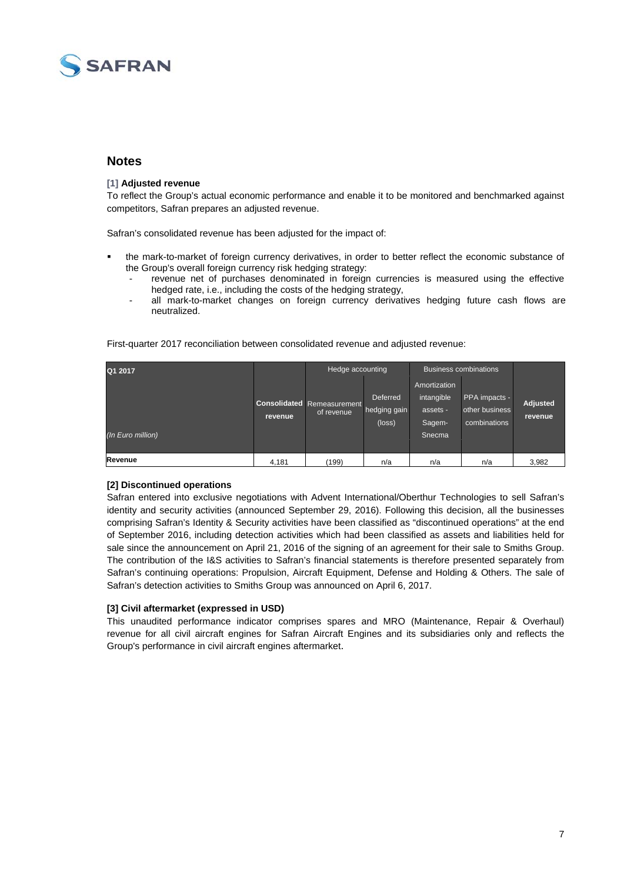

## **Notes**

#### **[1] Adjusted revenue**

To reflect the Group's actual economic performance and enable it to be monitored and benchmarked against competitors, Safran prepares an adjusted revenue.

Safran's consolidated revenue has been adjusted for the impact of:

- the mark-to-market of foreign currency derivatives, in order to better reflect the economic substance of the Group's overall foreign currency risk hedging strategy:
	- revenue net of purchases denominated in foreign currencies is measured using the effective hedged rate, i.e., including the costs of the hedging strategy,
	- all mark-to-market changes on foreign currency derivatives hedging future cash flows are neutralized.

| Q1 2017           |         | Hedge accounting                                |                                             | <b>Business combinations</b>                     |                                                 |                            |
|-------------------|---------|-------------------------------------------------|---------------------------------------------|--------------------------------------------------|-------------------------------------------------|----------------------------|
|                   | revenue | <b>Consolidated</b> Remeasurement<br>of revenue | Deferred<br>hedging gain<br>$(\text{loss})$ | Amortization<br>intangible<br>assets -<br>Sagem- | PPA impacts -<br>other business<br>combinations | <b>Adjusted</b><br>revenue |
| (In Euro million) |         |                                                 |                                             | Snecma                                           |                                                 |                            |
| Revenue           | 4.181   | (199)                                           | n/a                                         | n/a                                              | n/a                                             | 3,982                      |

First-quarter 2017 reconciliation between consolidated revenue and adjusted revenue:

### **[2] Discontinued operations**

Safran entered into exclusive negotiations with Advent International/Oberthur Technologies to sell Safran's identity and security activities (announced September 29, 2016). Following this decision, all the businesses comprising Safran's Identity & Security activities have been classified as "discontinued operations" at the end of September 2016, including detection activities which had been classified as assets and liabilities held for sale since the announcement on April 21, 2016 of the signing of an agreement for their sale to Smiths Group. The contribution of the I&S activities to Safran's financial statements is therefore presented separately from Safran's continuing operations: Propulsion, Aircraft Equipment, Defense and Holding & Others. The sale of Safran's detection activities to Smiths Group was announced on April 6, 2017.

### **[3] Civil aftermarket (expressed in USD)**

This unaudited performance indicator comprises spares and MRO (Maintenance, Repair & Overhaul) revenue for all civil aircraft engines for Safran Aircraft Engines and its subsidiaries only and reflects the Group's performance in civil aircraft engines aftermarket.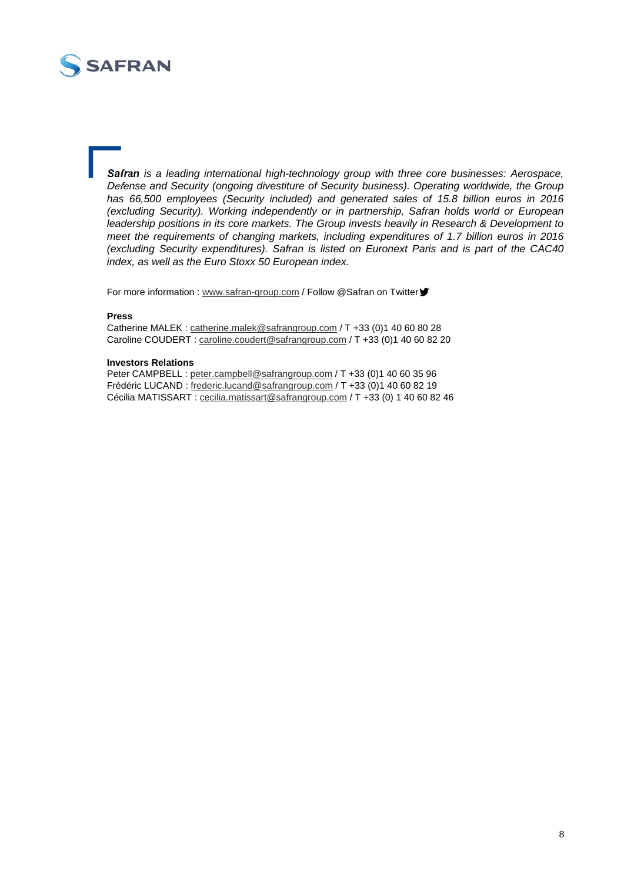

*Safran is a leading international high-technology group with three core businesses: Aerospace, Defense and Security (ongoing divestiture of Security business). Operating worldwide, the Group has 66,500 employees (Security included) and generated sales of 15.8 billion euros in 2016 (excluding Security). Working independently or in partnership, Safran holds world or European leadership positions in its core markets. The Group invests heavily in Research & Development to meet the requirements of changing markets, including expenditures of 1.7 billion euros in 2016 (excluding Security expenditures). Safran is listed on Euronext Paris and is part of the CAC40 index, as well as the Euro Stoxx 50 European index.* 

For more information : www.safran-group.com / Follow @Safran on Twitter "

#### **Press**

Catherine MALEK : catherine.malek@safrangroup.com / T +33 (0)1 40 60 80 28 Caroline COUDERT : caroline.coudert@safrangroup.com / T +33 (0)1 40 60 82 20

#### **Investors Relations**

Peter CAMPBELL : peter.campbell@safrangroup.com / T +33 (0)1 40 60 35 96 Frédéric LUCAND : frederic.lucand@safrangroup.com / T +33 (0)1 40 60 82 19 Cécilia MATISSART : cecilia.matissart@safrangroup.com / T +33 (0) 1 40 60 82 46